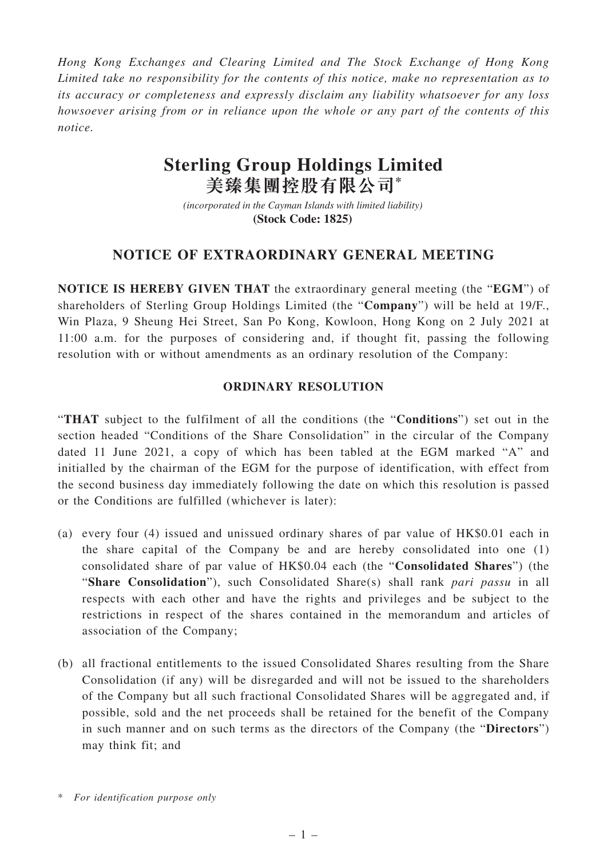*Hong Kong Exchanges and Clearing Limited and The Stock Exchange of Hong Kong Limited take no responsibility for the contents of this notice, make no representation as to its accuracy or completeness and expressly disclaim any liability whatsoever for any loss howsoever arising from or in reliance upon the whole or any part of the contents of this notice.*

## **Sterling Group Holdings Limited 美臻集團控股有限公司\***

*(incorporated in the Cayman Islands with limited liability)*  **(Stock Code: 1825)** 

## **NOTICE OF EXTRAORDINARY GENERAL MEETING**

**NOTICE IS HEREBY GIVEN THAT** the extraordinary general meeting (the "**EGM**") of shareholders of Sterling Group Holdings Limited (the "**Company**") will be held at 19/F., Win Plaza, 9 Sheung Hei Street, San Po Kong, Kowloon, Hong Kong on 2 July 2021 at 11:00 a.m. for the purposes of considering and, if thought fit, passing the following resolution with or without amendments as an ordinary resolution of the Company:

## **ORDINARY RESOLUTION**

"**THAT** subject to the fulfilment of all the conditions (the "**Conditions**") set out in the section headed "Conditions of the Share Consolidation" in the circular of the Company dated 11 June 2021, a copy of which has been tabled at the EGM marked "A" and initialled by the chairman of the EGM for the purpose of identification, with effect from the second business day immediately following the date on which this resolution is passed or the Conditions are fulfilled (whichever is later):

- (a) every four (4) issued and unissued ordinary shares of par value of HK\$0.01 each in the share capital of the Company be and are hereby consolidated into one (1) consolidated share of par value of HK\$0.04 each (the "**Consolidated Shares**") (the "**Share Consolidation**"), such Consolidated Share(s) shall rank *pari passu* in all respects with each other and have the rights and privileges and be subject to the restrictions in respect of the shares contained in the memorandum and articles of association of the Company;
- (b) all fractional entitlements to the issued Consolidated Shares resulting from the Share Consolidation (if any) will be disregarded and will not be issued to the shareholders of the Company but all such fractional Consolidated Shares will be aggregated and, if possible, sold and the net proceeds shall be retained for the benefit of the Company in such manner and on such terms as the directors of the Company (the "**Directors**") may think fit; and

<sup>\*</sup> *For identification purpose only*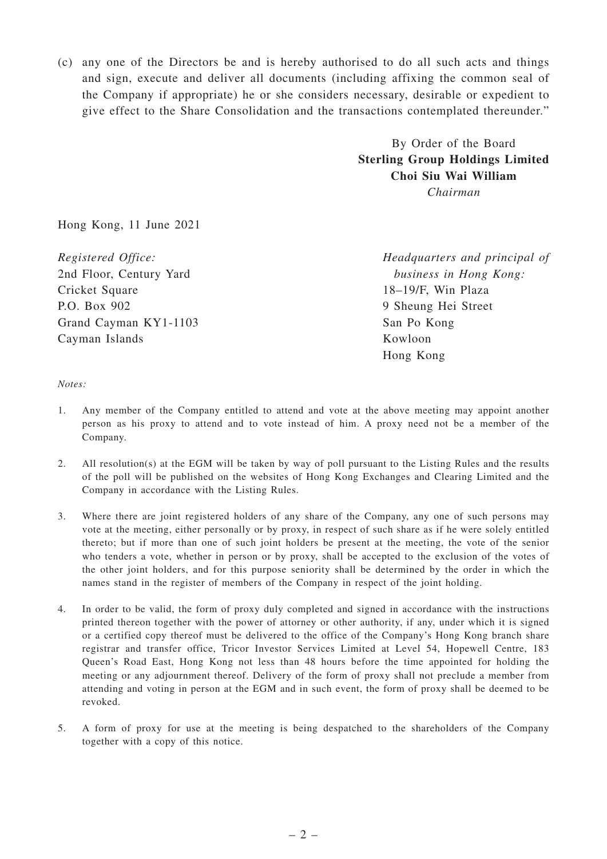(c) any one of the Directors be and is hereby authorised to do all such acts and things and sign, execute and deliver all documents (including affixing the common seal of the Company if appropriate) he or she considers necessary, desirable or expedient to give effect to the Share Consolidation and the transactions contemplated thereunder."

> By Order of the Board **Sterling Group Holdings Limited Choi Siu Wai William**

*Chairman*

Hong Kong, 11 June 2021

*Registered Office:* 2nd Floor, Century Yard Cricket Square P.O. Box 902 Grand Cayman KY1-1103 Cayman Islands

*Headquarters and principal of business in Hong Kong:* 18–19/F, Win Plaza 9 Sheung Hei Street San Po Kong Kowloon Hong Kong

*Notes:*

- 1. Any member of the Company entitled to attend and vote at the above meeting may appoint another person as his proxy to attend and to vote instead of him. A proxy need not be a member of the Company.
- 2. All resolution(s) at the EGM will be taken by way of poll pursuant to the Listing Rules and the results of the poll will be published on the websites of Hong Kong Exchanges and Clearing Limited and the Company in accordance with the Listing Rules.
- 3. Where there are joint registered holders of any share of the Company, any one of such persons may vote at the meeting, either personally or by proxy, in respect of such share as if he were solely entitled thereto; but if more than one of such joint holders be present at the meeting, the vote of the senior who tenders a vote, whether in person or by proxy, shall be accepted to the exclusion of the votes of the other joint holders, and for this purpose seniority shall be determined by the order in which the names stand in the register of members of the Company in respect of the joint holding.
- 4. In order to be valid, the form of proxy duly completed and signed in accordance with the instructions printed thereon together with the power of attorney or other authority, if any, under which it is signed or a certified copy thereof must be delivered to the office of the Company's Hong Kong branch share registrar and transfer office, Tricor Investor Services Limited at Level 54, Hopewell Centre, 183 Queen's Road East, Hong Kong not less than 48 hours before the time appointed for holding the meeting or any adjournment thereof. Delivery of the form of proxy shall not preclude a member from attending and voting in person at the EGM and in such event, the form of proxy shall be deemed to be revoked.
- 5. A form of proxy for use at the meeting is being despatched to the shareholders of the Company together with a copy of this notice.